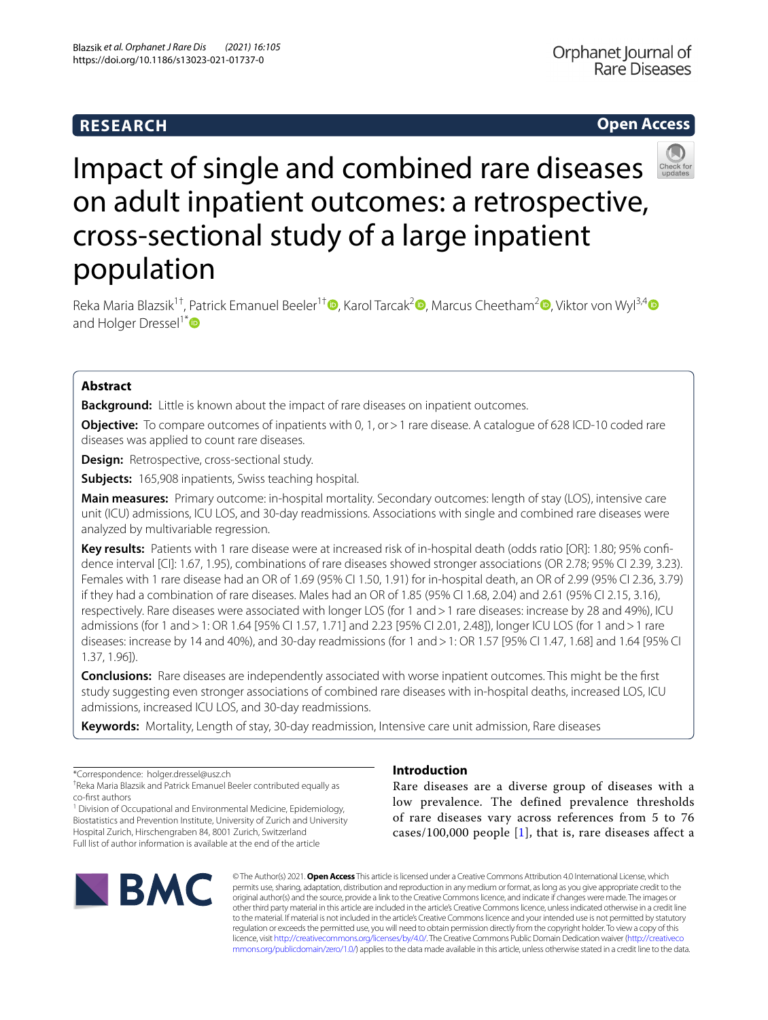# **RESEARCH**

# **Open Access**



# Impact of single and combined rare diseases on adult inpatient outcomes: a retrospective, cross-sectional study of a large inpatient population

Reka Maria Blazsik<sup>1[†](http://orcid.org/0000-0002-6097-2480)</sup>, Patrick Emanuel Beeler<sup>1†</sup> , Karol Tarcak<sup>[2](http://orcid.org/0000-0002-1055-3923)</sup> , Marcus Cheetham<sup>2</sup> , Viktor von Wyl<sup>3,[4](http://orcid.org/0000-0002-8754-9797)</sup> D and Holger Dressel<sup>1[\\*](https://orcid.org/0000-0002-1268-0416)</sup>

## **Abstract**

**Background:** Little is known about the impact of rare diseases on inpatient outcomes.

**Objective:** To compare outcomes of inpatients with 0, 1, or > 1 rare disease. A catalogue of 628 ICD-10 coded rare diseases was applied to count rare diseases.

**Design:** Retrospective, cross-sectional study.

**Subjects:** 165,908 inpatients, Swiss teaching hospital.

**Main measures:** Primary outcome: in-hospital mortality. Secondary outcomes: length of stay (LOS), intensive care unit (ICU) admissions, ICU LOS, and 30-day readmissions. Associations with single and combined rare diseases were analyzed by multivariable regression.

**Key results:** Patients with 1 rare disease were at increased risk of in-hospital death (odds ratio [OR]: 1.80; 95% confdence interval [CI]: 1.67, 1.95), combinations of rare diseases showed stronger associations (OR 2.78; 95% CI 2.39, 3.23). Females with 1 rare disease had an OR of 1.69 (95% CI 1.50, 1.91) for in-hospital death, an OR of 2.99 (95% CI 2.36, 3.79) if they had a combination of rare diseases. Males had an OR of 1.85 (95% CI 1.68, 2.04) and 2.61 (95% CI 2.15, 3.16), respectively. Rare diseases were associated with longer LOS (for 1 and>1 rare diseases: increase by 28 and 49%), ICU admissions (for 1 and>1: OR 1.64 [95% CI 1.57, 1.71] and 2.23 [95% CI 2.01, 2.48]), longer ICU LOS (for 1 and>1 rare diseases: increase by 14 and 40%), and 30-day readmissions (for 1 and>1: OR 1.57 [95% CI 1.47, 1.68] and 1.64 [95% CI 1.37, 1.96]).

**Conclusions:** Rare diseases are independently associated with worse inpatient outcomes. This might be the frst study suggesting even stronger associations of combined rare diseases with in-hospital deaths, increased LOS, ICU admissions, increased ICU LOS, and 30-day readmissions.

**Keywords:** Mortality, Length of stay, 30-day readmission, Intensive care unit admission, Rare diseases

\*Correspondence: holger.dressel@usz.ch

† Reka Maria Blazsik and Patrick Emanuel Beeler contributed equally as co-frst authors

<sup>1</sup> Division of Occupational and Environmental Medicine, Epidemiology, Biostatistics and Prevention Institute, University of Zurich and University Hospital Zurich, Hirschengraben 84, 8001 Zurich, Switzerland Full list of author information is available at the end of the article



# **Introduction**

Rare diseases are a diverse group of diseases with a low prevalence. The defined prevalence thresholds of rare diseases vary across references from 5 to 76 cases/[1](#page-6-0)00,000 people  $[1]$ , that is, rare diseases affect a

© The Author(s) 2021. **Open Access** This article is licensed under a Creative Commons Attribution 4.0 International License, which permits use, sharing, adaptation, distribution and reproduction in any medium or format, as long as you give appropriate credit to the original author(s) and the source, provide a link to the Creative Commons licence, and indicate if changes were made. The images or other third party material in this article are included in the article's Creative Commons licence, unless indicated otherwise in a credit line to the material. If material is not included in the article's Creative Commons licence and your intended use is not permitted by statutory regulation or exceeds the permitted use, you will need to obtain permission directly from the copyright holder. To view a copy of this licence, visit [http://creativecommons.org/licenses/by/4.0/.](http://creativecommons.org/licenses/by/4.0/) The Creative Commons Public Domain Dedication waiver ([http://creativeco](http://creativecommons.org/publicdomain/zero/1.0/) [mmons.org/publicdomain/zero/1.0/](http://creativecommons.org/publicdomain/zero/1.0/)) applies to the data made available in this article, unless otherwise stated in a credit line to the data.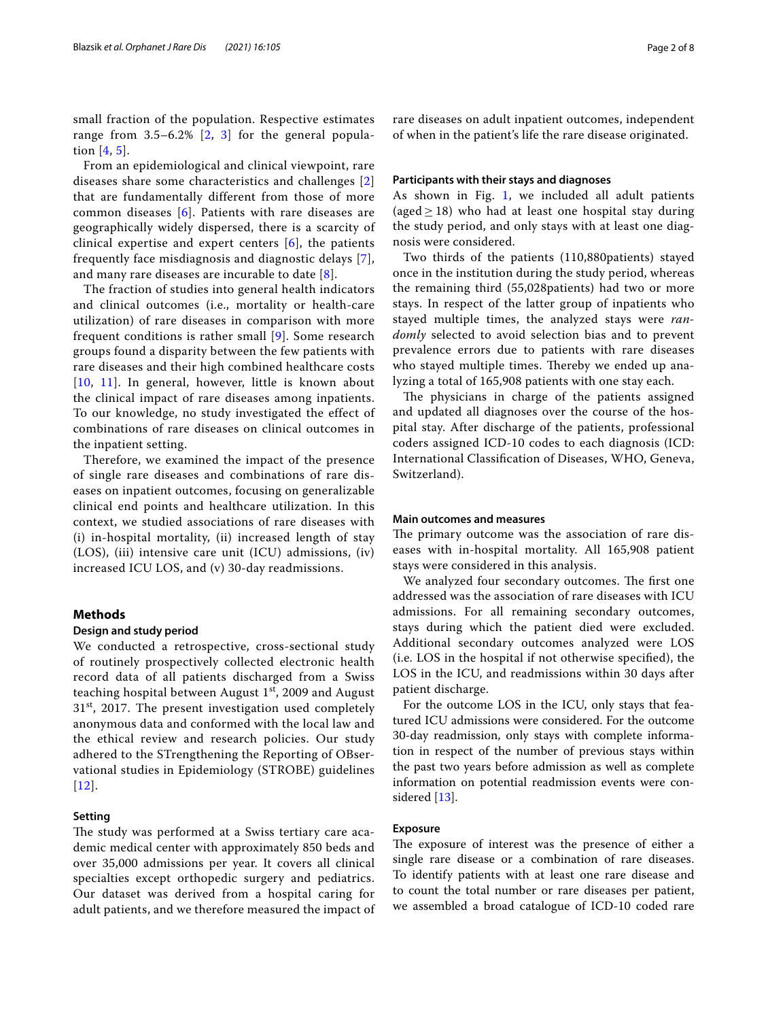small fraction of the population. Respective estimates range from 3.5–6.2% [[2,](#page-6-1) [3](#page-7-0)] for the general population [[4,](#page-7-1) [5](#page-7-2)].

From an epidemiological and clinical viewpoint, rare diseases share some characteristics and challenges [\[2](#page-6-1)] that are fundamentally different from those of more common diseases [[6\]](#page-7-3). Patients with rare diseases are geographically widely dispersed, there is a scarcity of clinical expertise and expert centers [[6\]](#page-7-3), the patients frequently face misdiagnosis and diagnostic delays [[7\]](#page-7-4), and many rare diseases are incurable to date [[8](#page-7-5)].

The fraction of studies into general health indicators and clinical outcomes (i.e., mortality or health-care utilization) of rare diseases in comparison with more frequent conditions is rather small [\[9\]](#page-7-6). Some research groups found a disparity between the few patients with rare diseases and their high combined healthcare costs [[10](#page-7-7), [11](#page-7-8)]. In general, however, little is known about the clinical impact of rare diseases among inpatients. To our knowledge, no study investigated the effect of combinations of rare diseases on clinical outcomes in the inpatient setting.

Therefore, we examined the impact of the presence of single rare diseases and combinations of rare diseases on inpatient outcomes, focusing on generalizable clinical end points and healthcare utilization. In this context, we studied associations of rare diseases with (i) in-hospital mortality, (ii) increased length of stay (LOS), (iii) intensive care unit (ICU) admissions, (iv) increased ICU LOS, and (v) 30-day readmissions.

## **Methods**

#### **Design and study period**

We conducted a retrospective, cross-sectional study of routinely prospectively collected electronic health record data of all patients discharged from a Swiss teaching hospital between August  $1<sup>st</sup>$ , 2009 and August  $31<sup>st</sup>$ , 2017. The present investigation used completely anonymous data and conformed with the local law and the ethical review and research policies. Our study adhered to the STrengthening the Reporting of OBservational studies in Epidemiology (STROBE) guidelines [[12](#page-7-9)].

## **Setting**

The study was performed at a Swiss tertiary care academic medical center with approximately 850 beds and over 35,000 admissions per year. It covers all clinical specialties except orthopedic surgery and pediatrics. Our dataset was derived from a hospital caring for adult patients, and we therefore measured the impact of rare diseases on adult inpatient outcomes, independent of when in the patient's life the rare disease originated.

#### **Participants with their stays and diagnoses**

As shown in Fig. [1,](#page-2-0) we included all adult patients (aged  $\geq$  18) who had at least one hospital stay during the study period, and only stays with at least one diagnosis were considered.

Two thirds of the patients (110,880patients) stayed once in the institution during the study period, whereas the remaining third (55,028patients) had two or more stays. In respect of the latter group of inpatients who stayed multiple times, the analyzed stays were *randomly* selected to avoid selection bias and to prevent prevalence errors due to patients with rare diseases who stayed multiple times. Thereby we ended up analyzing a total of 165,908 patients with one stay each.

The physicians in charge of the patients assigned and updated all diagnoses over the course of the hospital stay. After discharge of the patients, professional coders assigned ICD-10 codes to each diagnosis (ICD: International Classifcation of Diseases, WHO, Geneva, Switzerland).

#### **Main outcomes and measures**

The primary outcome was the association of rare diseases with in-hospital mortality. All 165,908 patient stays were considered in this analysis.

We analyzed four secondary outcomes. The first one addressed was the association of rare diseases with ICU admissions. For all remaining secondary outcomes, stays during which the patient died were excluded. Additional secondary outcomes analyzed were LOS (i.e. LOS in the hospital if not otherwise specifed), the LOS in the ICU, and readmissions within 30 days after patient discharge.

For the outcome LOS in the ICU, only stays that featured ICU admissions were considered. For the outcome 30-day readmission, only stays with complete information in respect of the number of previous stays within the past two years before admission as well as complete information on potential readmission events were considered [[13\]](#page-7-10).

## **Exposure**

The exposure of interest was the presence of either a single rare disease or a combination of rare diseases. To identify patients with at least one rare disease and to count the total number or rare diseases per patient, we assembled a broad catalogue of ICD-10 coded rare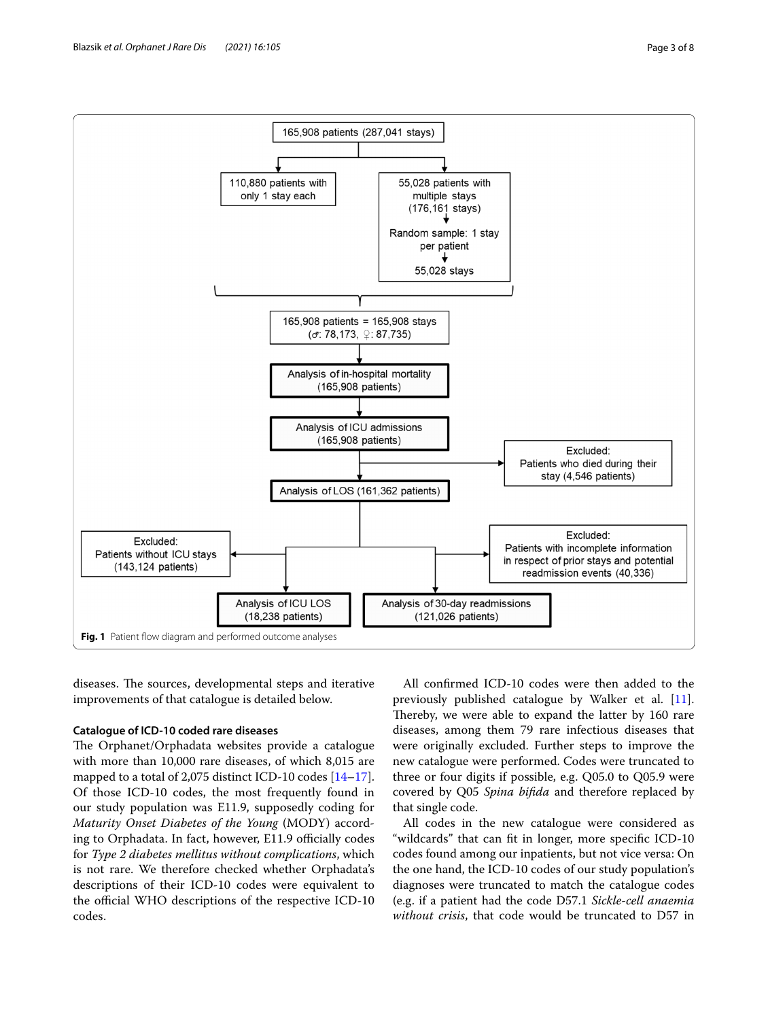

<span id="page-2-0"></span>diseases. The sources, developmental steps and iterative improvements of that catalogue is detailed below.

## **Catalogue of ICD‑10 coded rare diseases**

The Orphanet/Orphadata websites provide a catalogue with more than 10,000 rare diseases, of which 8,015 are mapped to a total of 2,075 distinct ICD-10 codes [[14](#page-7-11)[–17](#page-7-12)]. Of those ICD-10 codes, the most frequently found in our study population was E11.9, supposedly coding for *Maturity Onset Diabetes of the Young* (MODY) according to Orphadata. In fact, however, E11.9 officially codes for *Type 2 diabetes mellitus without complications*, which is not rare. We therefore checked whether Orphadata's descriptions of their ICD-10 codes were equivalent to the official WHO descriptions of the respective ICD-10 codes.

All confrmed ICD-10 codes were then added to the previously published catalogue by Walker et al. [\[11](#page-7-8)]. Thereby, we were able to expand the latter by 160 rare diseases, among them 79 rare infectious diseases that were originally excluded. Further steps to improve the new catalogue were performed. Codes were truncated to three or four digits if possible, e.g. Q05.0 to Q05.9 were covered by Q05 *Spina bifda* and therefore replaced by that single code.

All codes in the new catalogue were considered as "wildcards" that can ft in longer, more specifc ICD-10 codes found among our inpatients, but not vice versa: On the one hand, the ICD-10 codes of our study population's diagnoses were truncated to match the catalogue codes (e.g. if a patient had the code D57.1 *Sickle-cell anaemia without crisis*, that code would be truncated to D57 in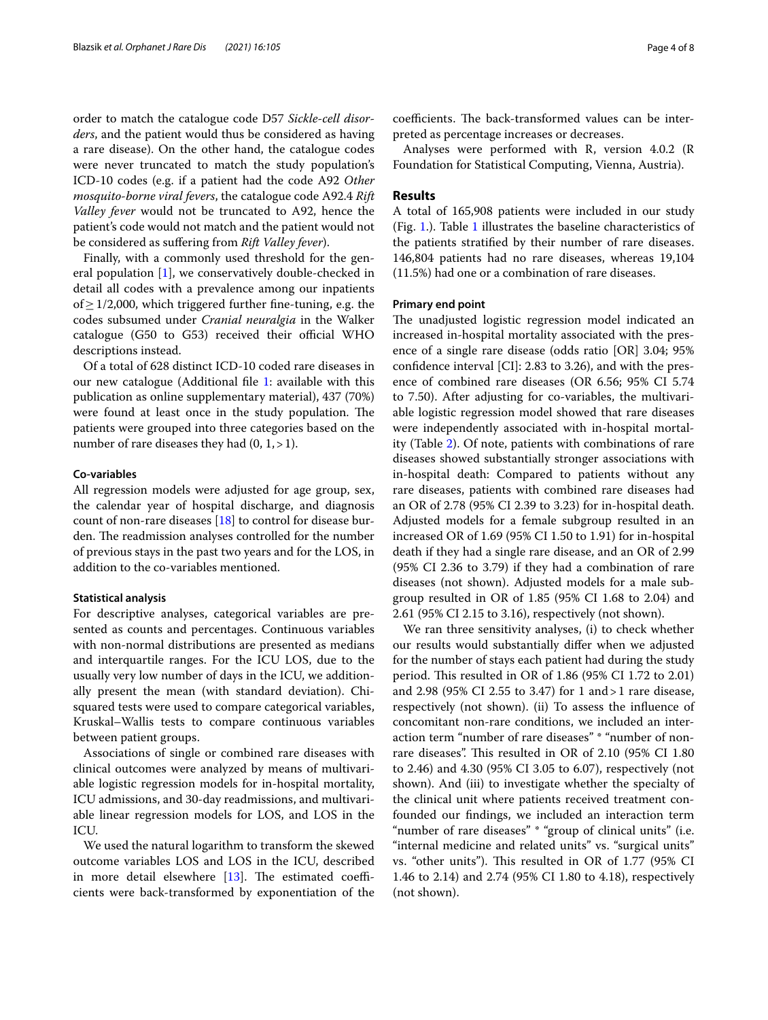order to match the catalogue code D57 *Sickle-cell disorders*, and the patient would thus be considered as having a rare disease). On the other hand, the catalogue codes were never truncated to match the study population's ICD-10 codes (e.g. if a patient had the code A92 *Other mosquito-borne viral fevers*, the catalogue code A92.4 *Rift Valley fever* would not be truncated to A92, hence the patient's code would not match and the patient would not be considered as sufering from *Rift Valley fever*).

Finally, with a commonly used threshold for the general population [[1\]](#page-6-0), we conservatively double-checked in detail all codes with a prevalence among our inpatients of  $\geq$  1/2,000, which triggered further fine-tuning, e.g. the codes subsumed under *Cranial neuralgia* in the Walker catalogue (G50 to G53) received their official WHO descriptions instead.

Of a total of 628 distinct ICD-10 coded rare diseases in our new catalogue (Additional fle [1:](#page-6-2) available with this publication as online supplementary material), 437 (70%) were found at least once in the study population. The patients were grouped into three categories based on the number of rare diseases they had  $(0, 1, >1)$ .

#### **Co‑variables**

All regression models were adjusted for age group, sex, the calendar year of hospital discharge, and diagnosis count of non-rare diseases [[18\]](#page-7-13) to control for disease burden. The readmission analyses controlled for the number of previous stays in the past two years and for the LOS, in addition to the co-variables mentioned.

#### **Statistical analysis**

For descriptive analyses, categorical variables are presented as counts and percentages. Continuous variables with non-normal distributions are presented as medians and interquartile ranges. For the ICU LOS, due to the usually very low number of days in the ICU, we additionally present the mean (with standard deviation). Chisquared tests were used to compare categorical variables, Kruskal–Wallis tests to compare continuous variables between patient groups.

Associations of single or combined rare diseases with clinical outcomes were analyzed by means of multivariable logistic regression models for in-hospital mortality, ICU admissions, and 30-day readmissions, and multivariable linear regression models for LOS, and LOS in the ICU.

We used the natural logarithm to transform the skewed outcome variables LOS and LOS in the ICU, described in more detail elsewhere  $[13]$  $[13]$ . The estimated coefficients were back-transformed by exponentiation of the

coefficients. The back-transformed values can be interpreted as percentage increases or decreases.

Analyses were performed with R, version 4.0.2 (R Foundation for Statistical Computing, Vienna, Austria).

## **Results**

A total of 165,908 patients were included in our study (Fig. [1.](#page-2-0)). Table [1](#page-4-0) illustrates the baseline characteristics of the patients stratifed by their number of rare diseases. 146,804 patients had no rare diseases, whereas 19,104 (11.5%) had one or a combination of rare diseases.

### **Primary end point**

The unadjusted logistic regression model indicated an increased in-hospital mortality associated with the presence of a single rare disease (odds ratio [OR] 3.04; 95% confdence interval [CI]: 2.83 to 3.26), and with the presence of combined rare diseases (OR 6.56; 95% CI 5.74 to 7.50). After adjusting for co-variables, the multivariable logistic regression model showed that rare diseases were independently associated with in-hospital mortality (Table [2](#page-5-0)). Of note, patients with combinations of rare diseases showed substantially stronger associations with in-hospital death: Compared to patients without any rare diseases, patients with combined rare diseases had an OR of 2.78 (95% CI 2.39 to 3.23) for in-hospital death. Adjusted models for a female subgroup resulted in an increased OR of 1.69 (95% CI 1.50 to 1.91) for in-hospital death if they had a single rare disease, and an OR of 2.99 (95% CI 2.36 to 3.79) if they had a combination of rare diseases (not shown). Adjusted models for a male subgroup resulted in OR of 1.85 (95% CI 1.68 to 2.04) and 2.61 (95% CI 2.15 to 3.16), respectively (not shown).

We ran three sensitivity analyses, (i) to check whether our results would substantially difer when we adjusted for the number of stays each patient had during the study period. This resulted in OR of  $1.86$  (95% CI 1.72 to 2.01) and 2.98 (95% CI 2.55 to 3.47) for 1 and>1 rare disease, respectively (not shown). (ii) To assess the infuence of concomitant non-rare conditions, we included an interaction term "number of rare diseases" \* "number of nonrare diseases". This resulted in OR of 2.10 (95% CI 1.80 to 2.46) and 4.30 (95% CI 3.05 to 6.07), respectively (not shown). And (iii) to investigate whether the specialty of the clinical unit where patients received treatment confounded our fndings, we included an interaction term "number of rare diseases" \* "group of clinical units" (i.e. "internal medicine and related units" vs. "surgical units" vs. "other units"). This resulted in OR of 1.77 (95% CI 1.46 to 2.14) and 2.74 (95% CI 1.80 to 4.18), respectively (not shown).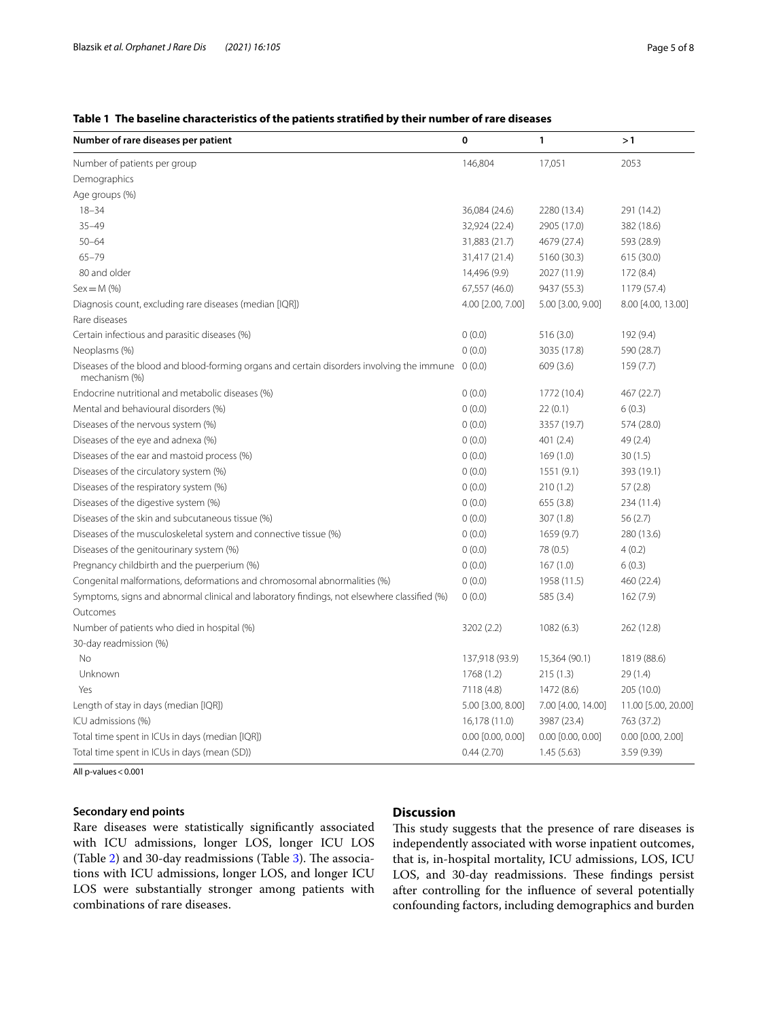## <span id="page-4-0"></span>**Table 1 The baseline characteristics of the patients stratifed by their number of rare diseases**

| Number of rare diseases per patient                                                                                | 0                     | 1                     | >1                    |
|--------------------------------------------------------------------------------------------------------------------|-----------------------|-----------------------|-----------------------|
| Number of patients per group                                                                                       | 146,804               | 17,051                | 2053                  |
| Demographics                                                                                                       |                       |                       |                       |
| Age groups (%)                                                                                                     |                       |                       |                       |
| $18 - 34$                                                                                                          | 36,084 (24.6)         | 2280 (13.4)           | 291 (14.2)            |
| $35 - 49$                                                                                                          | 32,924 (22.4)         | 2905 (17.0)           | 382 (18.6)            |
| $50 - 64$                                                                                                          | 31,883 (21.7)         | 4679 (27.4)           | 593 (28.9)            |
| $65 - 79$                                                                                                          | 31,417 (21.4)         | 5160 (30.3)           | 615 (30.0)            |
| 80 and older                                                                                                       | 14,496 (9.9)          | 2027 (11.9)           | 172 (8.4)             |
| $Sex = M$ (%)                                                                                                      | 67,557 (46.0)         | 9437 (55.3)           | 1179 (57.4)           |
| Diagnosis count, excluding rare diseases (median [IQR])                                                            | 4.00 [2.00, 7.00]     | 5.00 [3.00, 9.00]     | 8.00 [4.00, 13.00]    |
| Rare diseases                                                                                                      |                       |                       |                       |
| Certain infectious and parasitic diseases (%)                                                                      | 0(0.0)                | 516(3.0)              | 192 (9.4)             |
| Neoplasms (%)                                                                                                      | 0(0.0)                | 3035 (17.8)           | 590 (28.7)            |
| Diseases of the blood and blood-forming organs and certain disorders involving the immune 0 (0.0)<br>mechanism (%) |                       | 609(3.6)              | 159(7.7)              |
| Endocrine nutritional and metabolic diseases (%)                                                                   | 0(0.0)                | 1772 (10.4)           | 467 (22.7)            |
| Mental and behavioural disorders (%)                                                                               | 0(0.0)                | 22(0.1)               | 6(0.3)                |
| Diseases of the nervous system (%)                                                                                 | 0(0.0)                | 3357 (19.7)           | 574 (28.0)            |
| Diseases of the eye and adnexa (%)                                                                                 | 0(0.0)                | 401(2.4)              | 49 (2.4)              |
| Diseases of the ear and mastoid process (%)                                                                        | 0(0.0)                | 169(1.0)              | 30(1.5)               |
| Diseases of the circulatory system (%)                                                                             | 0(0.0)                | 1551(9.1)             | 393 (19.1)            |
| Diseases of the respiratory system (%)                                                                             | 0(0.0)                | 210(1.2)              | 57(2.8)               |
| Diseases of the digestive system (%)                                                                               | 0(0.0)                | 655 (3.8)             | 234 (11.4)            |
| Diseases of the skin and subcutaneous tissue (%)                                                                   | 0(0.0)                | 307 (1.8)             | 56(2.7)               |
| Diseases of the musculoskeletal system and connective tissue (%)                                                   | 0(0.0)                | 1659 (9.7)            | 280 (13.6)            |
| Diseases of the genitourinary system (%)                                                                           | 0(0.0)                | 78 (0.5)              | 4(0.2)                |
| Pregnancy childbirth and the puerperium (%)                                                                        | 0(0.0)                | 167(1.0)              | 6(0.3)                |
| Congenital malformations, deformations and chromosomal abnormalities (%)                                           | 0(0.0)                | 1958 (11.5)           | 460 (22.4)            |
| Symptoms, signs and abnormal clinical and laboratory findings, not elsewhere classified (%)                        | 0(0.0)                | 585 (3.4)             | 162(7.9)              |
| Outcomes                                                                                                           |                       |                       |                       |
| Number of patients who died in hospital (%)                                                                        | 3202 (2.2)            | 1082(6.3)             | 262 (12.8)            |
| 30-day readmission (%)                                                                                             |                       |                       |                       |
| No                                                                                                                 | 137,918 (93.9)        | 15,364 (90.1)         | 1819 (88.6)           |
| Unknown                                                                                                            | 1768 (1.2)            | 215(1.3)              | 29 (1.4)              |
| Yes                                                                                                                | 7118 (4.8)            | 1472 (8.6)            | 205 (10.0)            |
| Length of stay in days (median [IQR])                                                                              | 5.00 [3.00, 8.00]     | 7.00 [4.00, 14.00]    | 11.00 [5.00, 20.00]   |
| ICU admissions (%)                                                                                                 | 16,178 (11.0)         | 3987 (23.4)           | 763 (37.2)            |
| Total time spent in ICUs in days (median [IQR])                                                                    | $0.00$ $[0.00, 0.00]$ | $0.00$ $[0.00, 0.00]$ | $0.00$ $[0.00, 2.00]$ |
| Total time spent in ICUs in days (mean (SD))                                                                       | 0.44(2.70)            | 1.45(5.63)            | 3.59 (9.39)           |

All p-values < 0.001

## **Secondary end points**

Rare diseases were statistically signifcantly associated with ICU admissions, longer LOS, longer ICU LOS (Table [2\)](#page-5-0) and [3](#page-5-1)0-day readmissions (Table 3). The associations with ICU admissions, longer LOS, and longer ICU LOS were substantially stronger among patients with combinations of rare diseases.

## **Discussion**

This study suggests that the presence of rare diseases is independently associated with worse inpatient outcomes, that is, in-hospital mortality, ICU admissions, LOS, ICU LOS, and 30-day readmissions. These findings persist after controlling for the infuence of several potentially confounding factors, including demographics and burden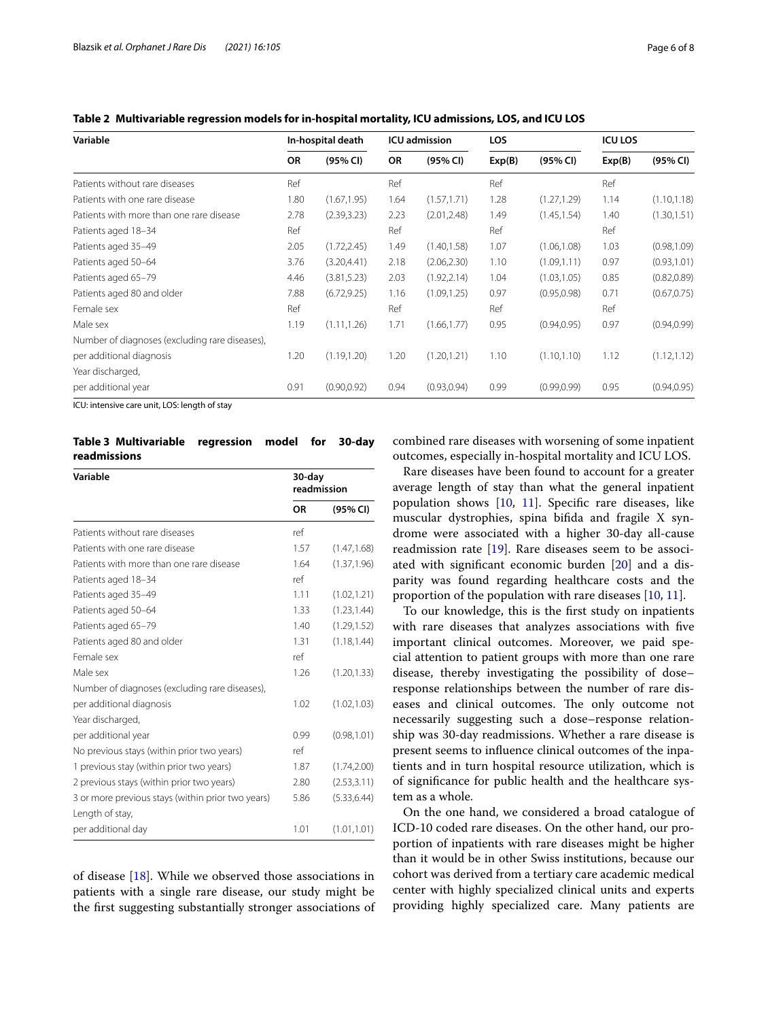<span id="page-5-0"></span>

|  | Table 2 Multivariable regression models for in-hospital mortality, ICU admissions, LOS, and ICU LOS |  |
|--|-----------------------------------------------------------------------------------------------------|--|
|  |                                                                                                     |  |

| Variable                                       | In-hospital death |              | <b>ICU</b> admission |              | <b>LOS</b> |              | <b>ICU LOS</b> |              |
|------------------------------------------------|-------------------|--------------|----------------------|--------------|------------|--------------|----------------|--------------|
|                                                | <b>OR</b>         | (95% CI)     | OR                   | (95% CI)     | Exp(B)     | (95% CI)     | Exp(B)         | (95% CI)     |
| Patients without rare diseases                 | Ref               |              | Ref                  |              | Ref        |              | Ref            |              |
| Patients with one rare disease                 | 1.80              | (1.67, 1.95) | 1.64                 | (1.57, 1.71) | 1.28       | (1.27, 1.29) | 1.14           | (1.10, 1.18) |
| Patients with more than one rare disease       | 2.78              | (2.39, 3.23) | 2.23                 | (2.01, 2.48) | 1.49       | (1.45, 1.54) | 1.40           | (1.30, 1.51) |
| Patients aged 18-34                            | Ref               |              | Ref                  |              | Ref        |              | Ref            |              |
| Patients aged 35-49                            | 2.05              | (1.72, 2.45) | 1.49                 | (1.40, 1.58) | 1.07       | (1.06, 1.08) | 1.03           | (0.98, 1.09) |
| Patients aged 50-64                            | 3.76              | (3.20, 4.41) | 2.18                 | (2.06, 2.30) | 1.10       | (1.09, 1.11) | 0.97           | (0.93, 1.01) |
| Patients aged 65-79                            | 4.46              | (3.81, 5.23) | 2.03                 | (1.92, 2.14) | 1.04       | (1.03, 1.05) | 0.85           | (0.82, 0.89) |
| Patients aged 80 and older                     | 7.88              | (6.72, 9.25) | 1.16                 | (1.09, 1.25) | 0.97       | (0.95, 0.98) | 0.71           | (0.67, 0.75) |
| Female sex                                     | Ref               |              | Ref                  |              | Ref        |              | Ref            |              |
| Male sex                                       | 1.19              | (1.11, 1.26) | 1.71                 | (1.66, 1.77) | 0.95       | (0.94, 0.95) | 0.97           | (0.94, 0.99) |
| Number of diagnoses (excluding rare diseases), |                   |              |                      |              |            |              |                |              |
| per additional diagnosis                       | 1.20              | (1.19, 1.20) | 1.20                 | (1.20, 1.21) | 1.10       | (1.10, 1.10) | 1.12           | (1.12, 1.12) |
| Year discharged,                               |                   |              |                      |              |            |              |                |              |
| per additional year                            | 0.91              | (0.90, 0.92) | 0.94                 | (0.93, 0.94) | 0.99       | (0.99, 0.99) | 0.95           | (0.94, 0.95) |

ICU: intensive care unit, LOS: length of stay

<span id="page-5-1"></span>**Table 3 Multivariable regression model for 30-day readmissions**

| Variable                                          |           | 30-day<br>readmission |  |  |  |
|---------------------------------------------------|-----------|-----------------------|--|--|--|
|                                                   | <b>OR</b> | (95% CI)              |  |  |  |
| Patients without rare diseases                    | ref       |                       |  |  |  |
| Patients with one rare disease                    | 1.57      | (1.47, 1.68)          |  |  |  |
| Patients with more than one rare disease          | 1.64      | (1.37, 1.96)          |  |  |  |
| Patients aged 18-34                               | ref       |                       |  |  |  |
| Patients aged 35-49                               | 1.11      | (1.02, 1.21)          |  |  |  |
| Patients aged 50-64                               | 1.33      | (1.23, 1.44)          |  |  |  |
| Patients aged 65-79                               | 1.40      | (1.29, 1.52)          |  |  |  |
| Patients aged 80 and older                        | 1.31      | (1.18, 1.44)          |  |  |  |
| Female sex                                        | ref       |                       |  |  |  |
| Male sex                                          | 1.26      | (1.20, 1.33)          |  |  |  |
| Number of diagnoses (excluding rare diseases),    |           |                       |  |  |  |
| per additional diagnosis                          | 1.02      | (1.02, 1.03)          |  |  |  |
| Year discharged,                                  |           |                       |  |  |  |
| per additional year                               | 0.99      | (0.98, 1.01)          |  |  |  |
| No previous stays (within prior two years)        | ref       |                       |  |  |  |
| 1 previous stay (within prior two years)          | 1.87      | (1.74, 2.00)          |  |  |  |
| 2 previous stays (within prior two years)         | 2.80      | (2.53, 3.11)          |  |  |  |
| 3 or more previous stays (within prior two years) | 5.86      | (5.33, 6.44)          |  |  |  |
| Length of stay,                                   |           |                       |  |  |  |
| per additional day                                | 1.01      | (1.01, 1.01)          |  |  |  |

of disease  $[18]$  $[18]$ . While we observed those associations in patients with a single rare disease, our study might be the frst suggesting substantially stronger associations of

combined rare diseases with worsening of some inpatient outcomes, especially in-hospital mortality and ICU LOS.

Rare diseases have been found to account for a greater average length of stay than what the general inpatient population shows [[10,](#page-7-7) [11\]](#page-7-8). Specifc rare diseases, like muscular dystrophies, spina bifda and fragile X syndrome were associated with a higher 30-day all-cause readmission rate [\[19\]](#page-7-14). Rare diseases seem to be associated with signifcant economic burden [\[20](#page-7-15)] and a disparity was found regarding healthcare costs and the proportion of the population with rare diseases [[10](#page-7-7), [11\]](#page-7-8).

To our knowledge, this is the frst study on inpatients with rare diseases that analyzes associations with fve important clinical outcomes. Moreover, we paid special attention to patient groups with more than one rare disease, thereby investigating the possibility of dose– response relationships between the number of rare diseases and clinical outcomes. The only outcome not necessarily suggesting such a dose–response relationship was 30-day readmissions. Whether a rare disease is present seems to infuence clinical outcomes of the inpatients and in turn hospital resource utilization, which is of signifcance for public health and the healthcare system as a whole.

On the one hand, we considered a broad catalogue of ICD-10 coded rare diseases. On the other hand, our proportion of inpatients with rare diseases might be higher than it would be in other Swiss institutions, because our cohort was derived from a tertiary care academic medical center with highly specialized clinical units and experts providing highly specialized care. Many patients are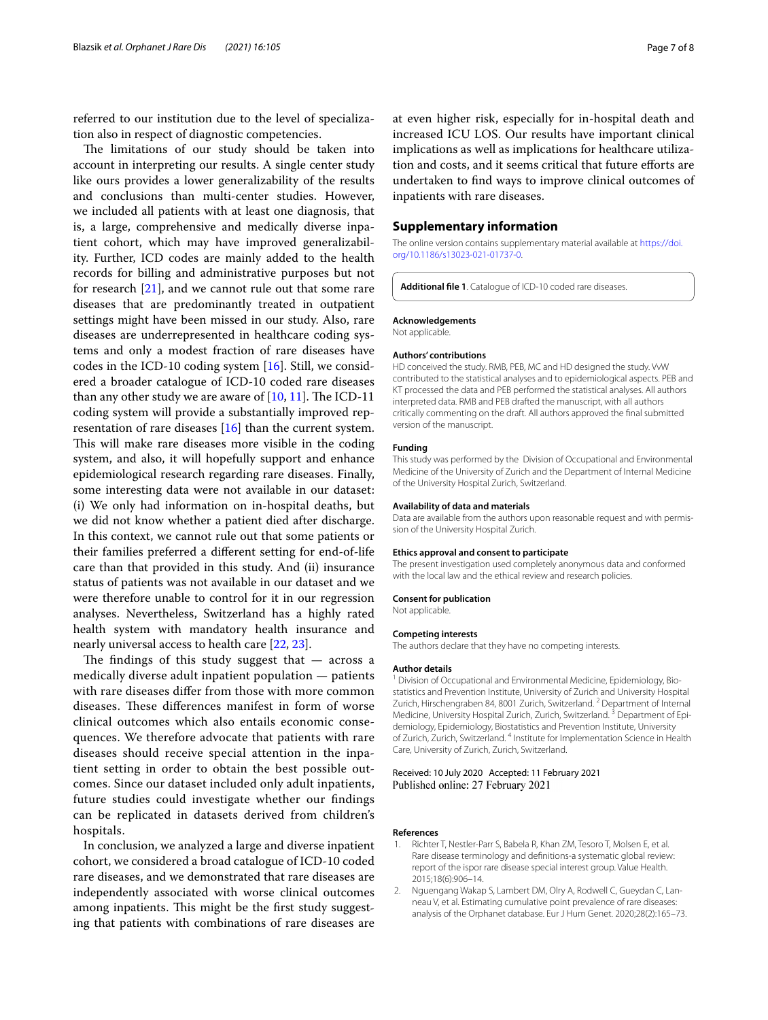referred to our institution due to the level of specialization also in respect of diagnostic competencies.

The limitations of our study should be taken into account in interpreting our results. A single center study like ours provides a lower generalizability of the results and conclusions than multi-center studies. However, we included all patients with at least one diagnosis, that is, a large, comprehensive and medically diverse inpatient cohort, which may have improved generalizability. Further, ICD codes are mainly added to the health records for billing and administrative purposes but not for research [\[21](#page-7-16)], and we cannot rule out that some rare diseases that are predominantly treated in outpatient settings might have been missed in our study. Also, rare diseases are underrepresented in healthcare coding systems and only a modest fraction of rare diseases have codes in the ICD-10 coding system  $[16]$  $[16]$ . Still, we considered a broader catalogue of ICD-10 coded rare diseases than any other study we are aware of  $[10, 11]$  $[10, 11]$  $[10, 11]$  $[10, 11]$ . The ICD-11 coding system will provide a substantially improved representation of rare diseases [\[16](#page-7-17)] than the current system. This will make rare diseases more visible in the coding system, and also, it will hopefully support and enhance epidemiological research regarding rare diseases. Finally, some interesting data were not available in our dataset: (i) We only had information on in-hospital deaths, but we did not know whether a patient died after discharge. In this context, we cannot rule out that some patients or their families preferred a diferent setting for end-of-life care than that provided in this study. And (ii) insurance status of patients was not available in our dataset and we were therefore unable to control for it in our regression analyses. Nevertheless, Switzerland has a highly rated health system with mandatory health insurance and nearly universal access to health care [\[22](#page-7-18), [23](#page-7-19)].

The findings of this study suggest that  $-$  across a medically diverse adult inpatient population — patients with rare diseases difer from those with more common diseases. These differences manifest in form of worse clinical outcomes which also entails economic consequences. We therefore advocate that patients with rare diseases should receive special attention in the inpatient setting in order to obtain the best possible outcomes. Since our dataset included only adult inpatients, future studies could investigate whether our fndings can be replicated in datasets derived from children's hospitals.

In conclusion, we analyzed a large and diverse inpatient cohort, we considered a broad catalogue of ICD-10 coded rare diseases, and we demonstrated that rare diseases are independently associated with worse clinical outcomes among inpatients. This might be the first study suggesting that patients with combinations of rare diseases are

at even higher risk, especially for in-hospital death and increased ICU LOS. Our results have important clinical implications as well as implications for healthcare utilization and costs, and it seems critical that future eforts are undertaken to fnd ways to improve clinical outcomes of inpatients with rare diseases.

## **Supplementary information**

The online version contains supplementary material available at [https://doi.](https://doi.org/10.1186/s13023-021-01737-0) [org/10.1186/s13023-021-01737-0](https://doi.org/10.1186/s13023-021-01737-0).

<span id="page-6-2"></span>**Additional fle 1**. Catalogue of ICD-10 coded rare diseases.

#### **Acknowledgements**

Not applicable.

#### **Authors' contributions**

HD conceived the study. RMB, PEB, MC and HD designed the study. VvW contributed to the statistical analyses and to epidemiological aspects. PEB and KT processed the data and PEB performed the statistical analyses. All authors interpreted data. RMB and PEB drafted the manuscript, with all authors critically commenting on the draft. All authors approved the fnal submitted version of the manuscript.

#### **Funding**

This study was performed by the Division of Occupational and Environmental Medicine of the University of Zurich and the Department of Internal Medicine of the University Hospital Zurich, Switzerland.

#### **Availability of data and materials**

Data are available from the authors upon reasonable request and with permission of the University Hospital Zurich.

#### **Ethics approval and consent to participate**

The present investigation used completely anonymous data and conformed with the local law and the ethical review and research policies.

## **Consent for publication**

Not applicable.

#### **Competing interests**

The authors declare that they have no competing interests.

#### **Author details**

<sup>1</sup> Division of Occupational and Environmental Medicine, Epidemiology, Biostatistics and Prevention Institute, University of Zurich and University Hospital Zurich, Hirschengraben 84, 8001 Zurich, Switzerland.<sup>2</sup> Department of Internal Medicine, University Hospital Zurich, Zurich, Switzerland. 3 Department of Epidemiology, Epidemiology, Biostatistics and Prevention Institute, University of Zurich, Zurich, Switzerland. 4 Institute for Implementation Science in Health Care, University of Zurich, Zurich, Switzerland.

Received: 10 July 2020 Accepted: 11 February 2021 Published online: 27 February 2021

#### **References**

- <span id="page-6-0"></span>1. Richter T, Nestler-Parr S, Babela R, Khan ZM, Tesoro T, Molsen E, et al. Rare disease terminology and defnitions-a systematic global review: report of the ispor rare disease special interest group. Value Health. 2015;18(6):906–14.
- <span id="page-6-1"></span>2. Nguengang Wakap S, Lambert DM, Olry A, Rodwell C, Gueydan C, Lanneau V, et al. Estimating cumulative point prevalence of rare diseases: analysis of the Orphanet database. Eur J Hum Genet. 2020;28(2):165–73.